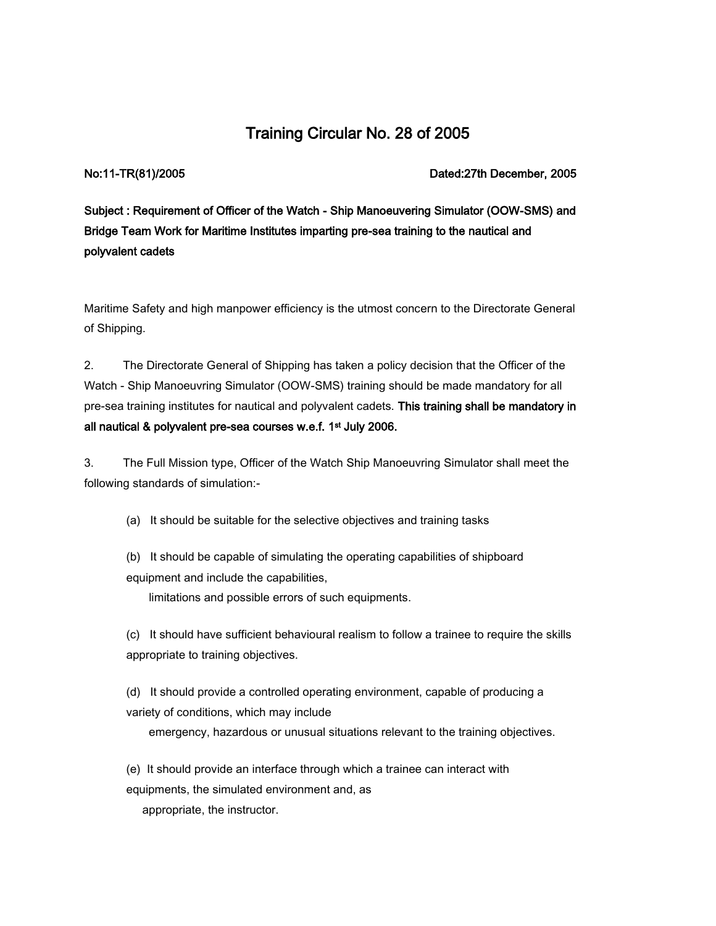# Training Circular No. 28 of 2005

No:11-TR(81)/2005 Dated:27th December, 2005

Subject : Requirement of Officer of the Watch - Ship Manoeuvering Simulator (OOW-SMS) and Bridge Team Work for Maritime Institutes imparting pre-sea training to the nautical and polyvalent cadets

Maritime Safety and high manpower efficiency is the utmost concern to the Directorate General of Shipping.

2. The Directorate General of Shipping has taken a policy decision that the Officer of the Watch - Ship Manoeuvring Simulator (OOW-SMS) training should be made mandatory for all pre-sea training institutes for nautical and polyvalent cadets. This training shall be mandatory in all nautical & polyvalent pre-sea courses w.e.f. 1<sup>st</sup> July 2006.

3. The Full Mission type, Officer of the Watch Ship Manoeuvring Simulator shall meet the following standards of simulation:-

(a) It should be suitable for the selective objectives and training tasks

(b) It should be capable of simulating the operating capabilities of shipboard equipment and include the capabilities,

limitations and possible errors of such equipments.

(c) It should have sufficient behavioural realism to follow a trainee to require the skills appropriate to training objectives.

(d) It should provide a controlled operating environment, capable of producing a variety of conditions, which may include

emergency, hazardous or unusual situations relevant to the training objectives.

(e) It should provide an interface through which a trainee can interact with

equipments, the simulated environment and, as

appropriate, the instructor.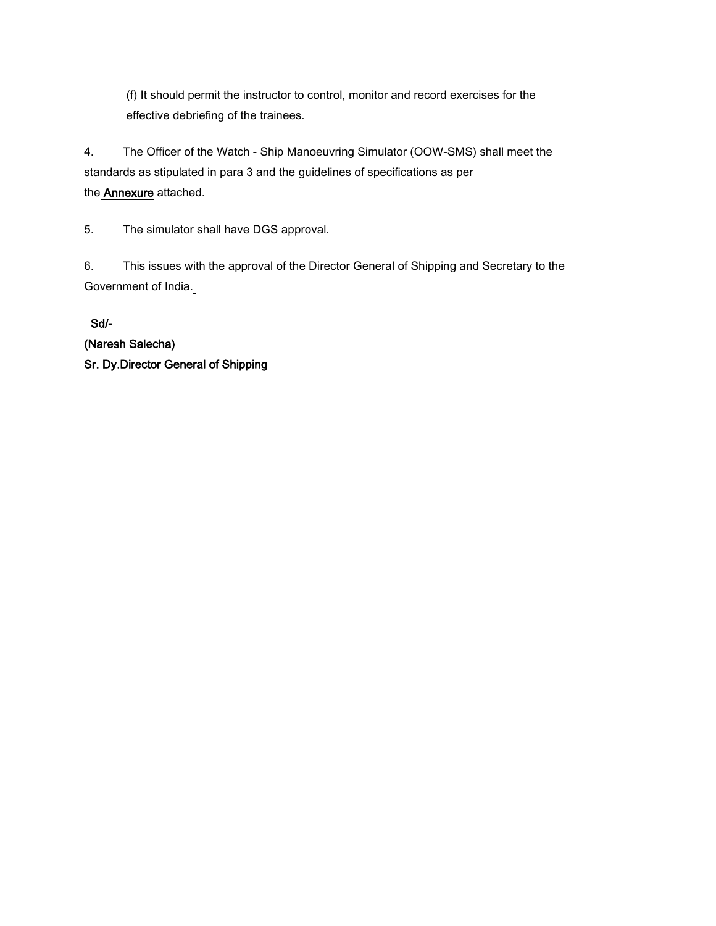(f) It should permit the instructor to control, monitor and record exercises for the effective debriefing of the trainees.

4. The Officer of the Watch - Ship Manoeuvring Simulator (OOW-SMS) shall meet the standards as stipulated in para 3 and the guidelines of specifications as per the Annexure attached.

5. The simulator shall have DGS approval.

6. This issues with the approval of the Director General of Shipping and Secretary to the Government of India.

 Sd/- (Naresh Salecha) Sr. Dy.Director General of Shipping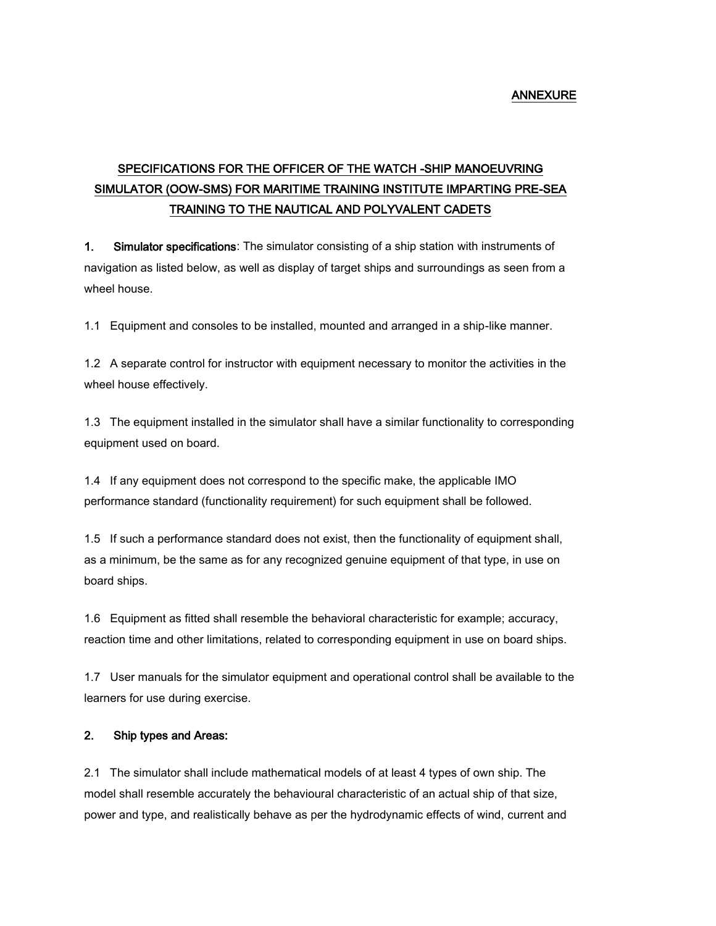## ANNEXURE

# SPECIFICATIONS FOR THE OFFICER OF THE WATCH -SHIP MANOEUVRING SIMULATOR (OOW-SMS) FOR MARITIME TRAINING INSTITUTE IMPARTING PRE-SEA TRAINING TO THE NAUTICAL AND POLYVALENT CADETS

1. Simulator specifications: The simulator consisting of a ship station with instruments of navigation as listed below, as well as display of target ships and surroundings as seen from a wheel house.

1.1 Equipment and consoles to be installed, mounted and arranged in a ship-like manner.

1.2 A separate control for instructor with equipment necessary to monitor the activities in the wheel house effectively.

1.3 The equipment installed in the simulator shall have a similar functionality to corresponding equipment used on board.

1.4 If any equipment does not correspond to the specific make, the applicable IMO performance standard (functionality requirement) for such equipment shall be followed.

1.5 If such a performance standard does not exist, then the functionality of equipment shall, as a minimum, be the same as for any recognized genuine equipment of that type, in use on board ships.

1.6 Equipment as fitted shall resemble the behavioral characteristic for example; accuracy, reaction time and other limitations, related to corresponding equipment in use on board ships.

1.7 User manuals for the simulator equipment and operational control shall be available to the learners for use during exercise.

# 2. Ship types and Areas:

2.1 The simulator shall include mathematical models of at least 4 types of own ship. The model shall resemble accurately the behavioural characteristic of an actual ship of that size, power and type, and realistically behave as per the hydrodynamic effects of wind, current and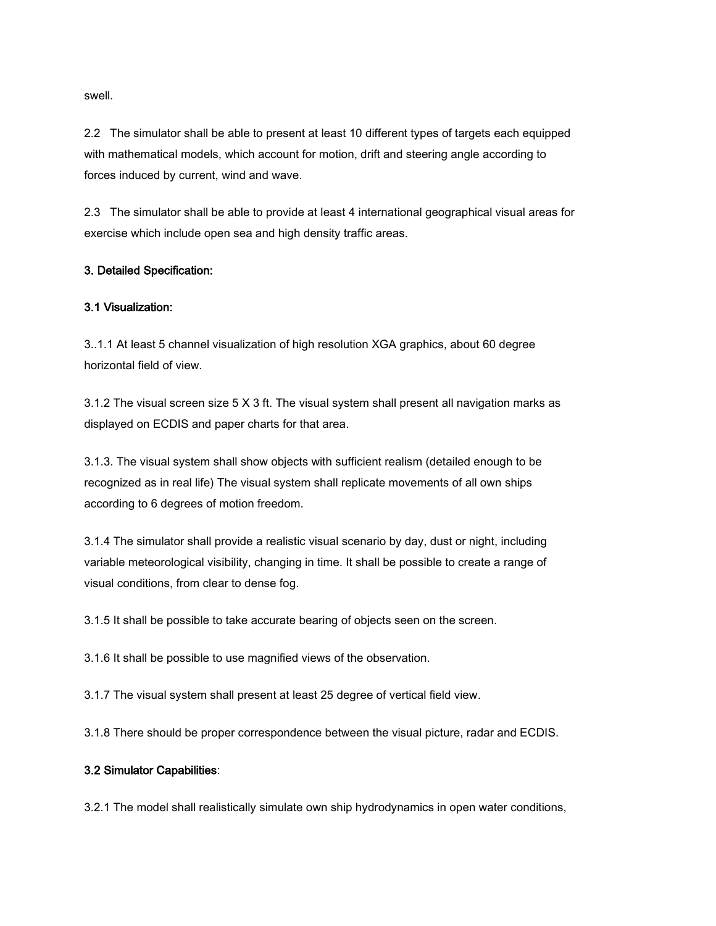swell.

2.2 The simulator shall be able to present at least 10 different types of targets each equipped with mathematical models, which account for motion, drift and steering angle according to forces induced by current, wind and wave.

2.3 The simulator shall be able to provide at least 4 international geographical visual areas for exercise which include open sea and high density traffic areas.

### 3. Detailed Specification:

### 3.1 Visualization:

3..1.1 At least 5 channel visualization of high resolution XGA graphics, about 60 degree horizontal field of view.

3.1.2 The visual screen size 5 X 3 ft. The visual system shall present all navigation marks as displayed on ECDIS and paper charts for that area.

3.1.3. The visual system shall show objects with sufficient realism (detailed enough to be recognized as in real life) The visual system shall replicate movements of all own ships according to 6 degrees of motion freedom.

3.1.4 The simulator shall provide a realistic visual scenario by day, dust or night, including variable meteorological visibility, changing in time. It shall be possible to create a range of visual conditions, from clear to dense fog.

3.1.5 It shall be possible to take accurate bearing of objects seen on the screen.

3.1.6 It shall be possible to use magnified views of the observation.

3.1.7 The visual system shall present at least 25 degree of vertical field view.

3.1.8 There should be proper correspondence between the visual picture, radar and ECDIS.

### 3.2 Simulator Capabilities:

3.2.1 The model shall realistically simulate own ship hydrodynamics in open water conditions,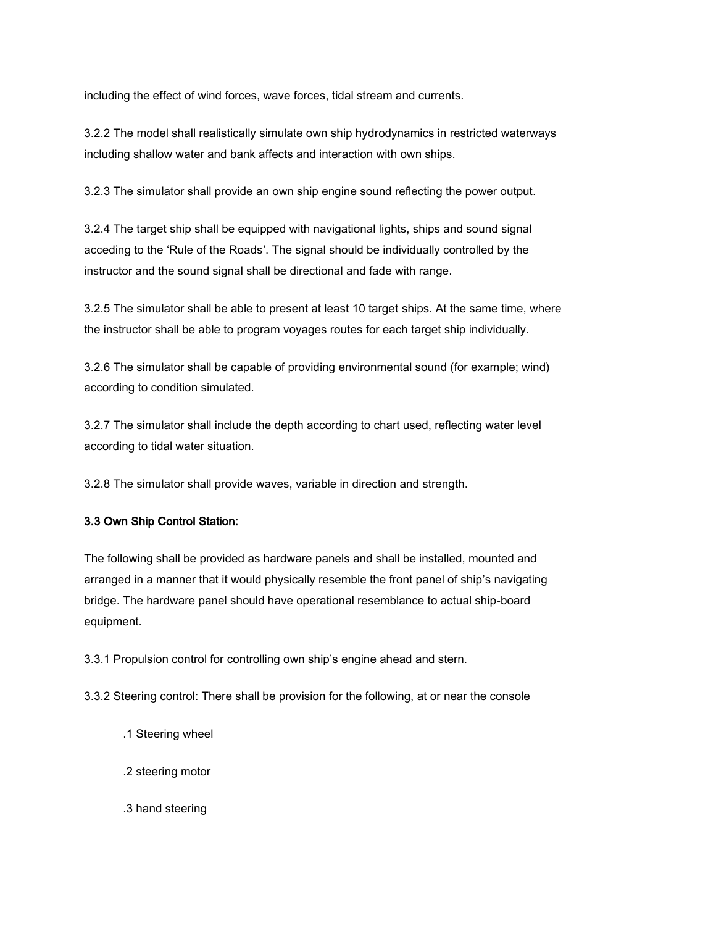including the effect of wind forces, wave forces, tidal stream and currents.

3.2.2 The model shall realistically simulate own ship hydrodynamics in restricted waterways including shallow water and bank affects and interaction with own ships.

3.2.3 The simulator shall provide an own ship engine sound reflecting the power output.

3.2.4 The target ship shall be equipped with navigational lights, ships and sound signal acceding to the 'Rule of the Roads'. The signal should be individually controlled by the instructor and the sound signal shall be directional and fade with range.

3.2.5 The simulator shall be able to present at least 10 target ships. At the same time, where the instructor shall be able to program voyages routes for each target ship individually.

3.2.6 The simulator shall be capable of providing environmental sound (for example; wind) according to condition simulated.

3.2.7 The simulator shall include the depth according to chart used, reflecting water level according to tidal water situation.

3.2.8 The simulator shall provide waves, variable in direction and strength.

# 3.3 Own Ship Control Station:

The following shall be provided as hardware panels and shall be installed, mounted and arranged in a manner that it would physically resemble the front panel of ship's navigating bridge. The hardware panel should have operational resemblance to actual ship-board equipment.

3.3.1 Propulsion control for controlling own ship's engine ahead and stern.

3.3.2 Steering control: There shall be provision for the following, at or near the console

- .1 Steering wheel
- .2 steering motor
- .3 hand steering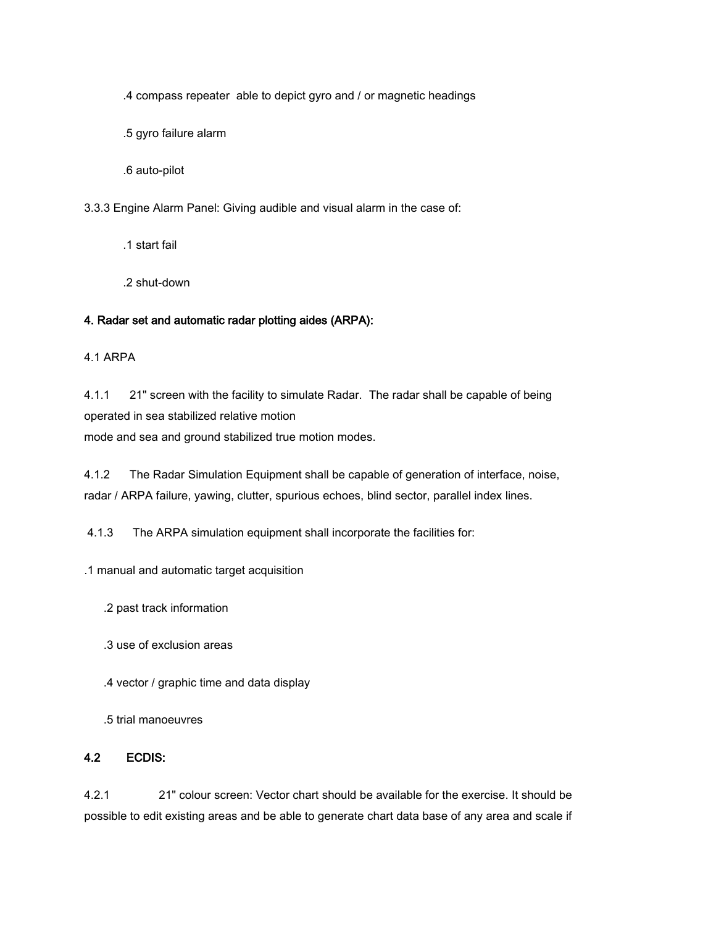.4 compass repeater able to depict gyro and / or magnetic headings

.5 gyro failure alarm

.6 auto-pilot

3.3.3 Engine Alarm Panel: Giving audible and visual alarm in the case of:

.1 start fail

.2 shut-down

# 4. Radar set and automatic radar plotting aides (ARPA):

4.1 ARPA

4.1.1 21" screen with the facility to simulate Radar. The radar shall be capable of being operated in sea stabilized relative motion mode and sea and ground stabilized true motion modes.

4.1.2 The Radar Simulation Equipment shall be capable of generation of interface, noise, radar / ARPA failure, yawing, clutter, spurious echoes, blind sector, parallel index lines.

4.1.3 The ARPA simulation equipment shall incorporate the facilities for:

.1 manual and automatic target acquisition

.2 past track information

.3 use of exclusion areas

.4 vector / graphic time and data display

.5 trial manoeuvres

# 4.2 ECDIS:

4.2.1 21" colour screen: Vector chart should be available for the exercise. It should be possible to edit existing areas and be able to generate chart data base of any area and scale if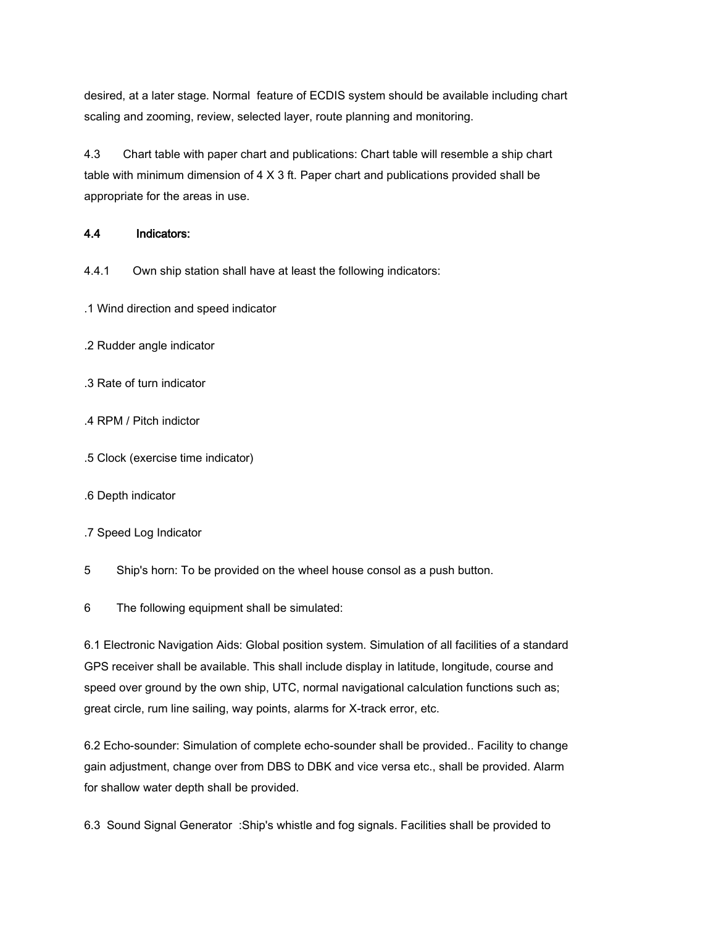desired, at a later stage. Normal feature of ECDIS system should be available including chart scaling and zooming, review, selected layer, route planning and monitoring.

4.3 Chart table with paper chart and publications: Chart table will resemble a ship chart table with minimum dimension of 4 X 3 ft. Paper chart and publications provided shall be appropriate for the areas in use.

# 4.4 Indicators:

4.4.1 Own ship station shall have at least the following indicators:

- .1 Wind direction and speed indicator
- .2 Rudder angle indicator
- .3 Rate of turn indicator
- .4 RPM / Pitch indictor
- .5 Clock (exercise time indicator)
- .6 Depth indicator
- .7 Speed Log Indicator
- 5 Ship's horn: To be provided on the wheel house consol as a push button.

6 The following equipment shall be simulated:

6.1 Electronic Navigation Aids: Global position system. Simulation of all facilities of a standard GPS receiver shall be available. This shall include display in latitude, longitude, course and speed over ground by the own ship, UTC, normal navigational calculation functions such as; great circle, rum line sailing, way points, alarms for X-track error, etc.

6.2 Echo-sounder: Simulation of complete echo-sounder shall be provided.. Facility to change gain adjustment, change over from DBS to DBK and vice versa etc., shall be provided. Alarm for shallow water depth shall be provided.

6.3 Sound Signal Generator :Ship's whistle and fog signals. Facilities shall be provided to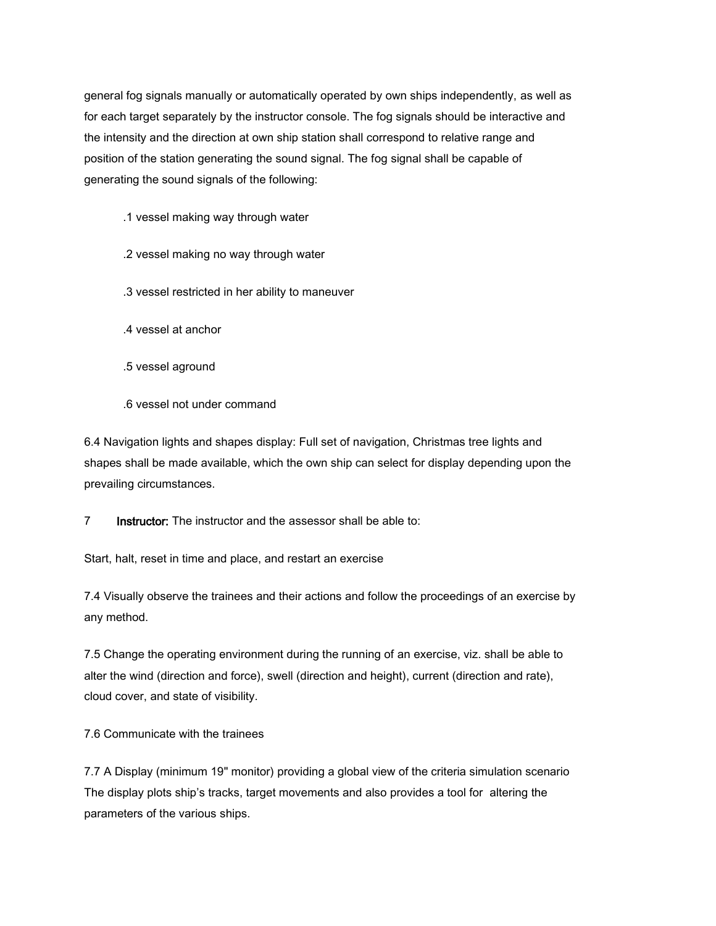general fog signals manually or automatically operated by own ships independently, as well as for each target separately by the instructor console. The fog signals should be interactive and the intensity and the direction at own ship station shall correspond to relative range and position of the station generating the sound signal. The fog signal shall be capable of generating the sound signals of the following:

.1 vessel making way through water

.2 vessel making no way through water

.3 vessel restricted in her ability to maneuver

.4 vessel at anchor

.5 vessel aground

.6 vessel not under command

6.4 Navigation lights and shapes display: Full set of navigation, Christmas tree lights and shapes shall be made available, which the own ship can select for display depending upon the prevailing circumstances.

7 **Instructor:** The instructor and the assessor shall be able to:

Start, halt, reset in time and place, and restart an exercise

7.4 Visually observe the trainees and their actions and follow the proceedings of an exercise by any method.

7.5 Change the operating environment during the running of an exercise, viz. shall be able to alter the wind (direction and force), swell (direction and height), current (direction and rate), cloud cover, and state of visibility.

7.6 Communicate with the trainees

7.7 A Display (minimum 19" monitor) providing a global view of the criteria simulation scenario The display plots ship's tracks, target movements and also provides a tool for altering the parameters of the various ships.